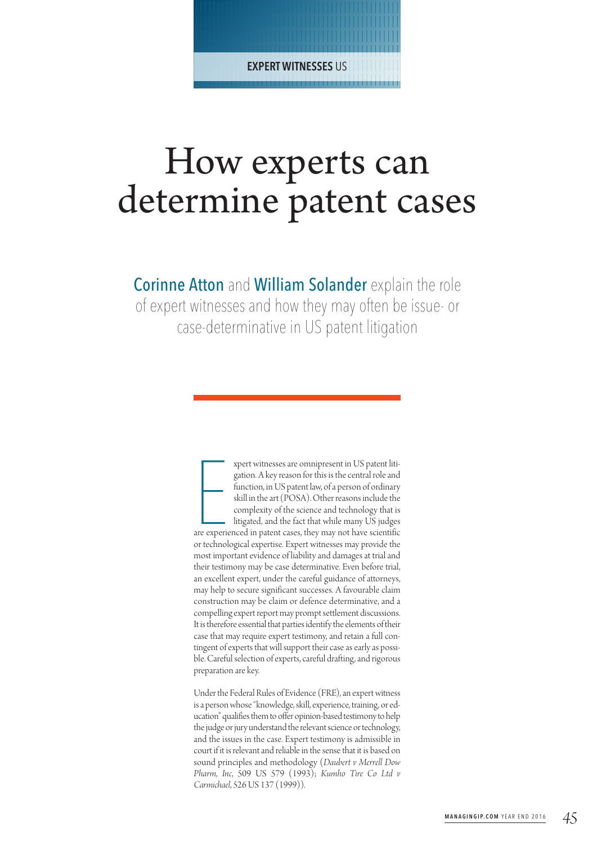| | | | | | | | | | | | | | | | | | | | | | | | | | | | | | | | | | | | | | | | | | | | | | | | | | | | | | | | | | | | | | | | | | | | | | | | | | | | | | | | | | | | | | | | | | | | | | **EXPERT WITNESSES** US| | | | | | | | | | | | | | | | | | | | | | | | | | | | | | | | | | | | | | | | | | | | | | |

# How experts can determine patent cases

**Corinne Atton and William Solander explain the role** of expert witnesses and how they may often be issue- or case-determinative in US patent litigation

> xpert witnesses are omnipresent in US patent litigation. A key reason for this is the central role and function, in US patent law, of a person of ordinary skill in the art (POSA). Other reasons include the complexity of th xpert witnessesare omnipresent in US patent litigation. A key reason for this is the central role and function, in US patent law, of a person of ordinary skill in the art (POSA). Other reasons include the complexity of the science and technology that is litigated, and the fact that while many US judges or technological expertise. Expert witnesses may provide the most important evidence of liability and damages at trial and their testimony may be case determinative. Even before trial, an excellent expert, under the careful guidance of attorneys, may help to secure significant successes. A favourable claim construction may be claim or defence determinative, and a compelling expert report may prompt settlement discussions. It is therefore essential that parties identify the elements of their case that may require expert testimony, and retain a full contingent of experts that will support their case as early as possible. Careful selection of experts, careful drafting, and rigorous preparation are key.

> Under the Federal Rules of Evidence (FRE), an expert witness is a person whose "knowledge, skill, experience, training, or education" qualifies them to offer opinion-based testimony to help the judge or jury understand the relevant science or technology, and the issues in the case. Expert testimony is admissible in court if it is relevant and reliable in the sense that it is based on sound principles and methodology (*Daubert v Merrell Dow Pharm, Inc*, 509 US 579 (1993); *Kumho Tire Co Ltd v Carmichael*, 526US 137 (1999)).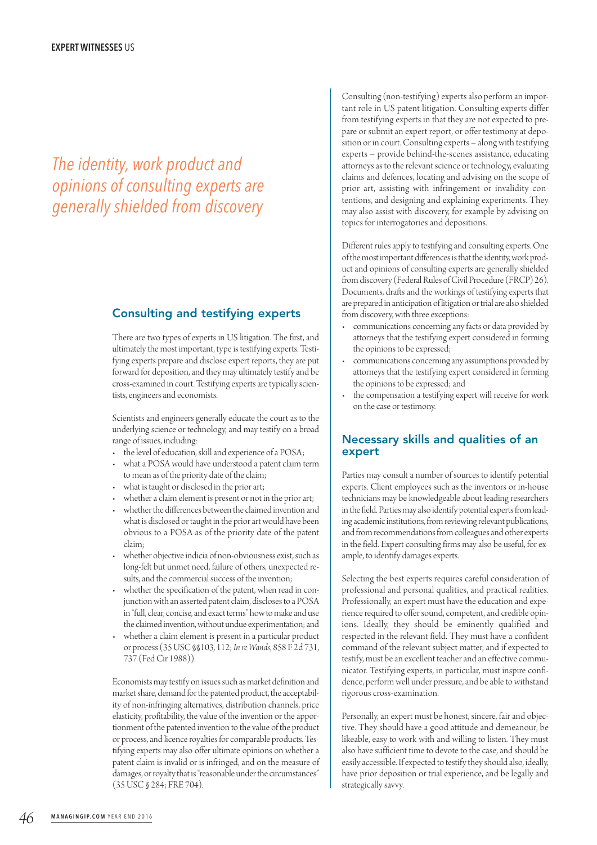# *The identity, work product and opinions of consulting experts are generally shielded from discovery*

### Consulting and testifying experts

There are two types of experts in US litigation. The first, and ultimately the most important, type is testifying experts. Testifying experts prepare and disclose expert reports, they are put forward for deposition, and they may ultimately testify and be cross-examined in court. Testifying experts are typically scientists, engineers and economists.

Scientists and engineers generally educate the court as to the underlying science or technology, and may testify on a broad range of issues, including:

- the level of education, skill and experience of a POSA;
- what a POSA would have understood a patent claim term to mean as of the priority date of the claim;
- what is taught or disclosed in the prior art;
- whether a claim element is present or not in the prior art;
- whether the differences between the claimed invention and what is disclosed or taught in the prior art would have been obvious to a POSA as of the priority date of the patent claim;
- whether objective indicia of non-obviousness exist, such as long-felt but unmet need, failure of others, unexpected results, and the commercial success of the invention;
- whether the specification of the patent, when read in conjunction with an asserted patent claim, discloses to a POSA in "full, clear, concise, and exact terms" how to make and use the claimed invention, without undue experimentation; and
- whether a claim element is present in a particular product or process(35USC§§103, 112; *In reWands*, 858 F 2d 731, 737 (FedCir 1988)).

Economists may testify on issues such as market definition and market share, demand for the patented product, the acceptability of non-infringing alternatives, distribution channels, price elasticity, profitability, the value of the invention or the apportionment of the patented invention to the value of the product or process, and licence royalties for comparable products. Testifying experts may also offer ultimate opinions on whether a patent claim is invalid or is infringed, and on the measure of damages, or royalty that is "reasonable under the circumstances" (35USC§ 284; FRE 704).

Consulting (non-testifying) experts also perform an important role in US patent litigation. Consulting experts differ from testifying experts in that they are not expected to prepare or submit an expert report, or offer testimony at deposition or in court. Consultingexperts – along with testifying experts – provide behind-the-scenes assistance, educating attorneys as to the relevant science or technology, evaluating claims and defences, locating and advising on the scope of prior art, assisting with infringement or invalidity contentions, and designing and explaining experiments. They may also assist with discovery, for example by advising on topics for interrogatories and depositions.

Different rules apply to testifying and consulting experts. One of the most important differences is that the identity, work product and opinions of consulting experts are generally shielded from discovery (Federal Rules of Civil Procedure (FRCP) 26). Documents, drafts and the workings of testifying experts that are prepared in anticipation of litigation or trial are also shielded from discovery, with three exceptions:

- communications concerning any facts or data provided by attorneys that the testifying expert considered in forming the opinions to be expressed;
- communications concerning any assumptions provided by attorneys that the testifying expert considered in forming the opinions to be expressed; and
- the compensation a testifying expert will receive for work on thecase or testimony.

#### Necessary skills and qualities of an expert

Parties may consult a number of sources to identify potential experts. Client employees such as the inventors or in-house technicians may be knowledgeable about leading researchers in the field. Parties may also identify potential experts from leading academic institutions, from reviewing relevant publications, and from recommendations from colleagues and other experts in the field. Expert consulting firms may also be useful, for example, to identify damages experts.

Selecting the best experts requires careful consideration of professional and personal qualities, and practical realities. Professionally, an expert must have the education and experience required to offer sound, competent, and credible opinions. Ideally, they should be eminently qualified and respected in the relevant field. They must have a confident command of the relevant subject matter, and if expected to testify, must be an excellent teacher and an effective communicator. Testifying experts, in particular, must inspire confidence, perform well under pressure, and be able to withstand rigorous cross-examination.

Personally, an expert must be honest, sincere, fair and objective. They should have a good attitude and demeanour, be likeable, easy to work with and willing to listen. They must also have sufficient time to devote to the case, and should be easily accessible. If expected to testify they should also, ideally, have prior deposition or trial experience, and be legally and strategically savvy.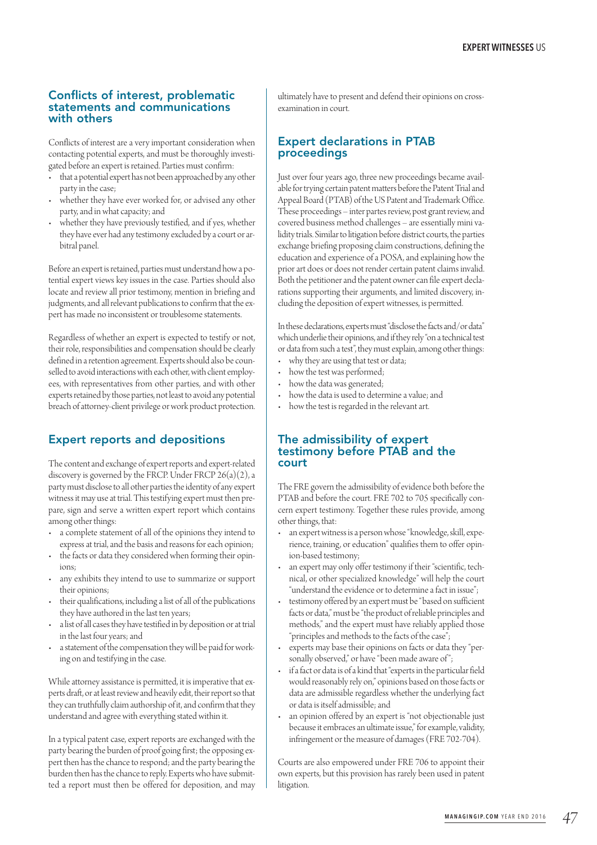#### Conflicts of interest, problematic statements and communications with others

Conflicts of interest are a very important consideration when contacting potential experts, and must be thoroughly investigated before an expert is retained. Parties must confirm:

- that a potential expert has not been approached by any other party in the case;
- whether they have ever worked for, or advised any other party, and in what capacity; and
- whether they have previously testified, and if yes, whether they have ever had any testimony excluded by a court or arbitral panel.

Before an expert is retained, parties must understand how a potential expert views key issues in the case. Parties should also locate and review all prior testimony, mention in briefing and judgments, and all relevant publications to confirm that the expert has made no inconsistent or troublesome statements.

Regardless of whether an expert is expected to testify or not, their role, responsibilities and compensation should be clearly defined in a retention agreement. Experts should also be counselled to avoid interactions with each other, with client employees, with representatives from other parties, and with other experts retained by those parties, not least to avoid any potential breach of attorney-client privilege or work product protection.

## Expert reports and depositions

The content and exchange of expert reports and expert-related discovery is governed by the FRCP. Under FRCP  $26(a)(2)$ , a party must disclose to all other parties the identity of any expert witness it may use at trial. This testifying expert must then prepare, sign and serve a written expert report which contains among other things:

- a complete statement of all of the opinions they intend to express at trial, and the basis and reasons for each opinion;
- the facts or data they considered when forming their opinions;
- any exhibits they intend to use to summarize or support their opinions;
- their qualifications, including a list of all of the publications they have authored in the last ten years;
- a list of all cases they have testified in by deposition or at trial in the last four years; and
- a statement of the compensation they will be paid for working on and testifying in the case.

While attorney assistance is permitted, it is imperative that experts draft, or at least review and heavily edit, their report so that they can truthfully claim authorship of it, and confirm that they understand and agree with everything stated within it.

In a typical patent case, expert reports are exchanged with the party bearing the burden of proof going first; the opposing expert then has the chance to respond; and the party bearing the burden then has the chance to reply. Experts who have submitted a report must then be offered for deposition, and may ultimately have to present and defend their opinions on crossexamination in court.

#### Expert declarations in PTAB proceedings

Just over four years ago, three new proceedings became available for trying certain patent matters before the Patent Trial and Appeal Board (PTAB) of the US Patent and Trademark Office. These proceedings - inter partes review, post grant review, and covered business method challenges - are essentially mini validity trials. Similar to litigation before district courts, the parties exchange briefing proposing claim constructions, defining the education and experience of a POSA, and explaining how the prior art does or does not render certain patent claims invalid. Both the petitioner and the patent owner can file expert declarations supporting their arguments, and limited discovery, including the deposition of expert witnesses, is permitted.

In these declarations, experts must "disclose the facts and/or data" which underlie their opinions, and if they rely "on a technical test or data from such a test", they must explain, among other things:

- why they are using that test or data;
- how the test was performed;
- how the data was generated;
- how the data is used to determine a value; and
- how the test is regarded in the relevant art.

#### The admissibility of expert testimony before PTAB and the court

The FRE govern the admissibility of evidence both before the PTAB and before the court. FRE 702 to 705 specifically concern expert testimony. Together these rules provide, among other things, that:

- an expert witness is a person whose "knowledge, skill, experience, training, or education" qualifies them to offer opinion-based testimony;
- an expert may only offer testimony if their "scientific, technical, or other specialized knowledge" will help the court "understand the evidence or to determine a fact in issue";
- testimony offered by an expert must be "based on sufficient facts or data," must be "the product of reliable principles and methods," and the expert must have reliably applied those "principles and methods to the facts of the case";
- experts may base their opinions on facts or data they "personally observed," or have "been made aware of";
- if a fact or data is of a kind that "experts in the particular field would reasonably rely on," opinions based on those facts or data are admissible regardless whether the underlying fact or data is itself admissible; and
- an opinion offered by an expert is "not objectionable just because it embraces an ultimate issue," for example, validity, infringement or the measure of damages(FRE 702-704).

Courts are also empowered under FRE 706 to appoint their own experts, but this provision has rarely been used in patent litigation.